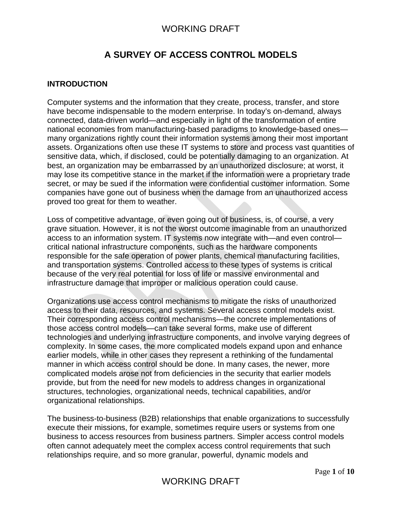# **A SURVEY OF ACCESS CONTROL MODELS**

#### **INTRODUCTION**

Computer systems and the information that they create, process, transfer, and store have become indispensable to the modern enterprise. In today's on-demand, always connected, data-driven world—and especially in light of the transformation of entire national economies from manufacturing-based paradigms to knowledge-based ones many organizations rightly count their information systems among their most important assets. Organizations often use these IT systems to store and process vast quantities of sensitive data, which, if disclosed, could be potentially damaging to an organization. At best, an organization may be embarrassed by an unauthorized disclosure; at worst, it may lose its competitive stance in the market if the information were a proprietary trade secret, or may be sued if the information were confidential customer information. Some companies have gone out of business when the damage from an unauthorized access proved too great for them to weather.

Loss of competitive advantage, or even going out of business, is, of course, a very grave situation. However, it is not the worst outcome imaginable from an unauthorized access to an information system. IT systems now integrate with—and even control critical national infrastructure components, such as the hardware components responsible for the safe operation of power plants, chemical manufacturing facilities, and transportation systems. Controlled access to these types of systems is critical because of the very real potential for loss of life or massive environmental and infrastructure damage that improper or malicious operation could cause.

Organizations use access control mechanisms to mitigate the risks of unauthorized access to their data, resources, and systems. Several access control models exist. Their corresponding access control mechanisms—the concrete implementations of those access control models—can take several forms, make use of different technologies and underlying infrastructure components, and involve varying degrees of complexity. In some cases, the more complicated models expand upon and enhance earlier models, while in other cases they represent a rethinking of the fundamental manner in which access control should be done. In many cases, the newer, more complicated models arose not from deficiencies in the security that earlier models provide, but from the need for new models to address changes in organizational structures, technologies, organizational needs, technical capabilities, and/or organizational relationships.

The business-to-business (B2B) relationships that enable organizations to successfully execute their missions, for example, sometimes require users or systems from one business to access resources from business partners. Simpler access control models often cannot adequately meet the complex access control requirements that such relationships require, and so more granular, powerful, dynamic models and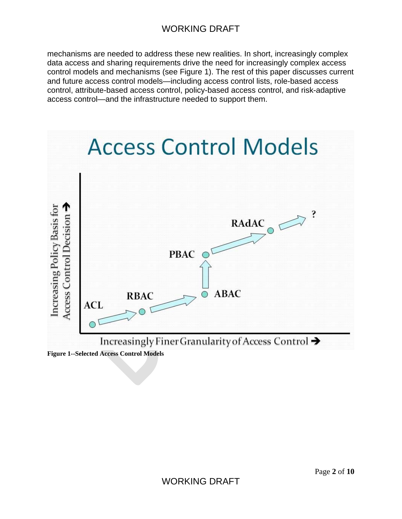mechanisms are needed to address these new realities. In short, increasingly complex data access and sharing requirements drive the need for increasingly complex access control models and mechanisms (see Figure 1). The rest of this paper discusses current and future access control models—including access control lists, role-based access control, attribute-based access control, policy-based access control, and risk-adaptive access control—and the infrastructure needed to support them.

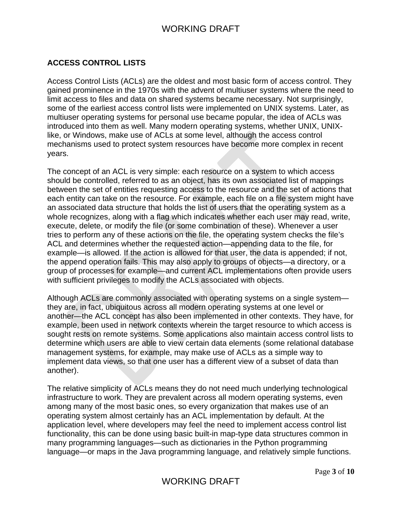### **ACCESS CONTROL LISTS**

Access Control Lists (ACLs) are the oldest and most basic form of access control. They gained prominence in the 1970s with the advent of multiuser systems where the need to limit access to files and data on shared systems became necessary. Not surprisingly, some of the earliest access control lists were implemented on UNIX systems. Later, as multiuser operating systems for personal use became popular, the idea of ACLs was introduced into them as well. Many modern operating systems, whether UNIX, UNIXlike, or Windows, make use of ACLs at some level, although the access control mechanisms used to protect system resources have become more complex in recent years.

The concept of an ACL is very simple: each resource on a system to which access should be controlled, referred to as an object, has its own associated list of mappings between the set of entities requesting access to the resource and the set of actions that each entity can take on the resource. For example, each file on a file system might have an associated data structure that holds the list of users that the operating system as a whole recognizes, along with a flag which indicates whether each user may read, write, execute, delete, or modify the file (or some combination of these). Whenever a user tries to perform any of these actions on the file, the operating system checks the file's ACL and determines whether the requested action—appending data to the file, for example—is allowed. If the action is allowed for that user, the data is appended; if not, the append operation fails. This may also apply to groups of objects—a directory, or a group of processes for example—and current ACL implementations often provide users with sufficient privileges to modify the ACLs associated with objects.

Although ACLs are commonly associated with operating systems on a single system they are, in fact, ubiquitous across all modern operating systems at one level or another—the ACL concept has also been implemented in other contexts. They have, for example, been used in network contexts wherein the target resource to which access is sought rests on remote systems. Some applications also maintain access control lists to determine which users are able to view certain data elements (some relational database management systems, for example, may make use of ACLs as a simple way to implement data views, so that one user has a different view of a subset of data than another).

The relative simplicity of ACLs means they do not need much underlying technological infrastructure to work. They are prevalent across all modern operating systems, even among many of the most basic ones, so every organization that makes use of an operating system almost certainly has an ACL implementation by default. At the application level, where developers may feel the need to implement access control list functionality, this can be done using basic built-in map-type data structures common in many programming languages—such as dictionaries in the Python programming language—or maps in the Java programming language, and relatively simple functions.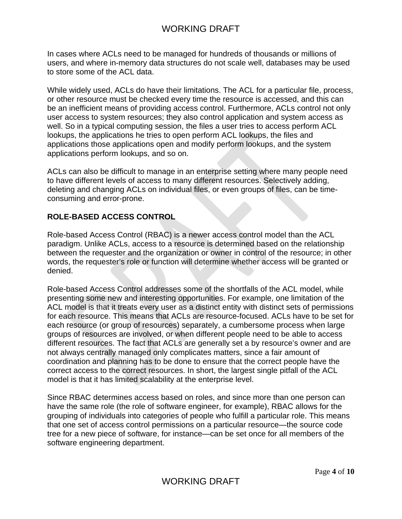In cases where ACLs need to be managed for hundreds of thousands or millions of users, and where in-memory data structures do not scale well, databases may be used to store some of the ACL data.

While widely used, ACLs do have their limitations. The ACL for a particular file, process, or other resource must be checked every time the resource is accessed, and this can be an inefficient means of providing access control. Furthermore, ACLs control not only user access to system resources; they also control application and system access as well. So in a typical computing session, the files a user tries to access perform ACL lookups, the applications he tries to open perform ACL lookups, the files and applications those applications open and modify perform lookups, and the system applications perform lookups, and so on.

ACLs can also be difficult to manage in an enterprise setting where many people need to have different levels of access to many different resources. Selectively adding, deleting and changing ACLs on individual files, or even groups of files, can be timeconsuming and error-prone.

#### **ROLE-BASED ACCESS CONTROL**

Role-based Access Control (RBAC) is a newer access control model than the ACL paradigm. Unlike ACLs, access to a resource is determined based on the relationship between the requester and the organization or owner in control of the resource; in other words, the requester's role or function will determine whether access will be granted or denied.

Role-based Access Control addresses some of the shortfalls of the ACL model, while presenting some new and interesting opportunities. For example, one limitation of the ACL model is that it treats every user as a distinct entity with distinct sets of permissions for each resource. This means that ACLs are resource-focused. ACLs have to be set for each resource (or group of resources) separately, a cumbersome process when large groups of resources are involved, or when different people need to be able to access different resources. The fact that ACLs are generally set a by resource's owner and are not always centrally managed only complicates matters, since a fair amount of coordination and planning has to be done to ensure that the correct people have the correct access to the correct resources. In short, the largest single pitfall of the ACL model is that it has limited scalability at the enterprise level.

Since RBAC determines access based on roles, and since more than one person can have the same role (the role of software engineer, for example), RBAC allows for the grouping of individuals into categories of people who fulfill a particular role. This means that one set of access control permissions on a particular resource—the source code tree for a new piece of software, for instance—can be set once for all members of the software engineering department.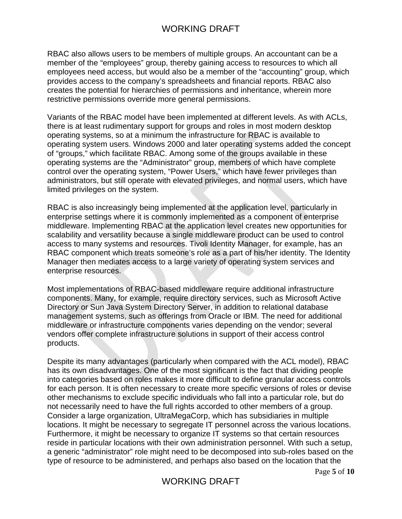RBAC also allows users to be members of multiple groups. An accountant can be a member of the "employees" group, thereby gaining access to resources to which all employees need access, but would also be a member of the "accounting" group, which provides access to the company's spreadsheets and financial reports. RBAC also creates the potential for hierarchies of permissions and inheritance, wherein more restrictive permissions override more general permissions.

Variants of the RBAC model have been implemented at different levels. As with ACLs, there is at least rudimentary support for groups and roles in most modern desktop operating systems, so at a minimum the infrastructure for RBAC is available to operating system users. Windows 2000 and later operating systems added the concept of "groups," which facilitate RBAC. Among some of the groups available in these operating systems are the "Administrator" group, members of which have complete control over the operating system, "Power Users," which have fewer privileges than administrators, but still operate with elevated privileges, and normal users, which have limited privileges on the system.

RBAC is also increasingly being implemented at the application level, particularly in enterprise settings where it is commonly implemented as a component of enterprise middleware. Implementing RBAC at the application level creates new opportunities for scalability and versatility because a single middleware product can be used to control access to many systems and resources. Tivoli Identity Manager, for example, has an RBAC component which treats someone's role as a part of his/her identity. The Identity Manager then mediates access to a large variety of operating system services and enterprise resources.

Most implementations of RBAC-based middleware require additional infrastructure components. Many, for example, require directory services, such as Microsoft Active Directory or Sun Java System Directory Server, in addition to relational database management systems, such as offerings from Oracle or IBM. The need for additional middleware or infrastructure components varies depending on the vendor; several vendors offer complete infrastructure solutions in support of their access control products.

Despite its many advantages (particularly when compared with the ACL model), RBAC has its own disadvantages. One of the most significant is the fact that dividing people into categories based on roles makes it more difficult to define granular access controls for each person. It is often necessary to create more specific versions of roles or devise other mechanisms to exclude specific individuals who fall into a particular role, but do not necessarily need to have the full rights accorded to other members of a group. Consider a large organization, UltraMegaCorp, which has subsidiaries in multiple locations. It might be necessary to segregate IT personnel across the various locations. Furthermore, it might be necessary to organize IT systems so that certain resources reside in particular locations with their own administration personnel. With such a setup, a generic "administrator" role might need to be decomposed into sub-roles based on the type of resource to be administered, and perhaps also based on the location that the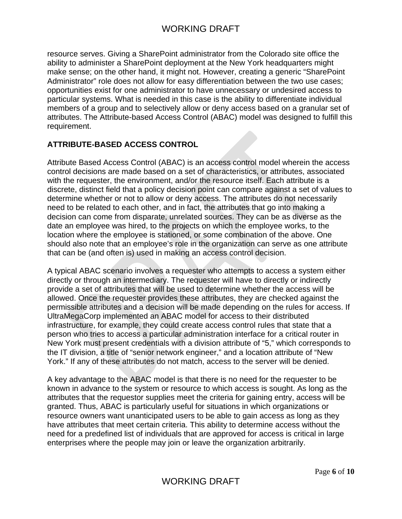resource serves. Giving a SharePoint administrator from the Colorado site office the ability to administer a SharePoint deployment at the New York headquarters might make sense; on the other hand, it might not. However, creating a generic "SharePoint Administrator" role does not allow for easy differentiation between the two use cases; opportunities exist for one administrator to have unnecessary or undesired access to particular systems. What is needed in this case is the ability to differentiate individual members of a group and to selectively allow or deny access based on a granular set of attributes. The Attribute-based Access Control (ABAC) model was designed to fulfill this requirement.

### **ATTRIBUTE-BASED ACCESS CONTROL**

Attribute Based Access Control (ABAC) is an access control model wherein the access control decisions are made based on a set of characteristics, or attributes, associated with the requester, the environment, and/or the resource itself. Each attribute is a discrete, distinct field that a policy decision point can compare against a set of values to determine whether or not to allow or deny access. The attributes do not necessarily need to be related to each other, and in fact, the attributes that go into making a decision can come from disparate, unrelated sources. They can be as diverse as the date an employee was hired, to the projects on which the employee works, to the location where the employee is stationed, or some combination of the above. One should also note that an employee's role in the organization can serve as one attribute that can be (and often is) used in making an access control decision.

A typical ABAC scenario involves a requester who attempts to access a system either directly or through an intermediary. The requester will have to directly or indirectly provide a set of attributes that will be used to determine whether the access will be allowed. Once the requester provides these attributes, they are checked against the permissible attributes and a decision will be made depending on the rules for access. If UltraMegaCorp implemented an ABAC model for access to their distributed infrastructure, for example, they could create access control rules that state that a person who tries to access a particular administration interface for a critical router in New York must present credentials with a division attribute of "5," which corresponds to the IT division, a title of "senior network engineer," and a location attribute of "New York." If any of these attributes do not match, access to the server will be denied.

A key advantage to the ABAC model is that there is no need for the requester to be known in advance to the system or resource to which access is sought. As long as the attributes that the requestor supplies meet the criteria for gaining entry, access will be granted. Thus, ABAC is particularly useful for situations in which organizations or resource owners want unanticipated users to be able to gain access as long as they have attributes that meet certain criteria. This ability to determine access without the need for a predefined list of individuals that are approved for access is critical in large enterprises where the people may join or leave the organization arbitrarily.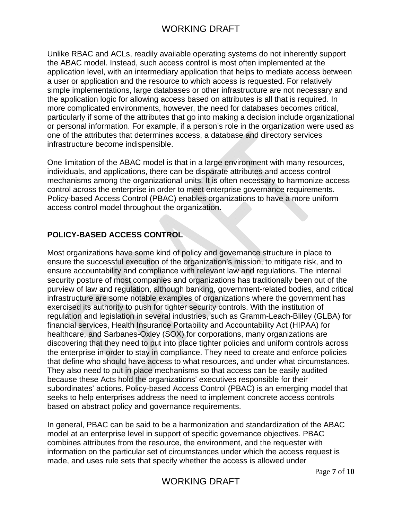Unlike RBAC and ACLs, readily available operating systems do not inherently support the ABAC model. Instead, such access control is most often implemented at the application level, with an intermediary application that helps to mediate access between a user or application and the resource to which access is requested. For relatively simple implementations, large databases or other infrastructure are not necessary and the application logic for allowing access based on attributes is all that is required. In more complicated environments, however, the need for databases becomes critical, particularly if some of the attributes that go into making a decision include organizational or personal information. For example, if a person's role in the organization were used as one of the attributes that determines access, a database and directory services infrastructure become indispensible.

One limitation of the ABAC model is that in a large environment with many resources, individuals, and applications, there can be disparate attributes and access control mechanisms among the organizational units. It is often necessary to harmonize access control across the enterprise in order to meet enterprise governance requirements. Policy-based Access Control (PBAC) enables organizations to have a more uniform access control model throughout the organization.

### **POLICY-BASED ACCESS CONTROL**

Most organizations have some kind of policy and governance structure in place to ensure the successful execution of the organization's mission, to mitigate risk, and to ensure accountability and compliance with relevant law and regulations. The internal security posture of most companies and organizations has traditionally been out of the purview of law and regulation, although banking, government-related bodies, and critical infrastructure are some notable examples of organizations where the government has exercised its authority to push for tighter security controls. With the institution of regulation and legislation in several industries, such as Gramm-Leach-Bliley (GLBA) for financial services, Health Insurance Portability and Accountability Act (HIPAA) for healthcare, and Sarbanes-Oxley (SOX) for corporations, many organizations are discovering that they need to put into place tighter policies and uniform controls across the enterprise in order to stay in compliance. They need to create and enforce policies that define who should have access to what resources, and under what circumstances. They also need to put in place mechanisms so that access can be easily audited because these Acts hold the organizations' executives responsible for their subordinates' actions. Policy-based Access Control (PBAC) is an emerging model that seeks to help enterprises address the need to implement concrete access controls based on abstract policy and governance requirements.

In general, PBAC can be said to be a harmonization and standardization of the ABAC model at an enterprise level in support of specific governance objectives. PBAC combines attributes from the resource, the environment, and the requester with information on the particular set of circumstances under which the access request is made, and uses rule sets that specify whether the access is allowed under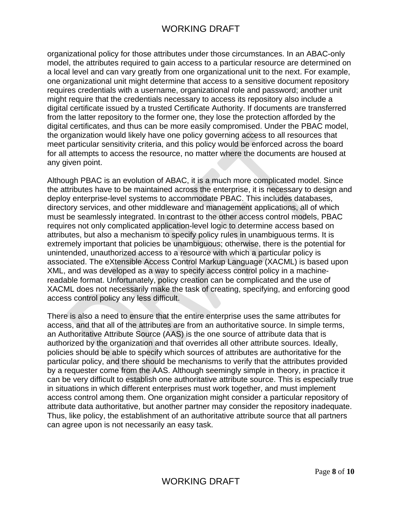organizational policy for those attributes under those circumstances. In an ABAC-only model, the attributes required to gain access to a particular resource are determined on a local level and can vary greatly from one organizational unit to the next. For example, one organizational unit might determine that access to a sensitive document repository requires credentials with a username, organizational role and password; another unit might require that the credentials necessary to access its repository also include a digital certificate issued by a trusted Certificate Authority. If documents are transferred from the latter repository to the former one, they lose the protection afforded by the digital certificates, and thus can be more easily compromised. Under the PBAC model, the organization would likely have one policy governing access to all resources that meet particular sensitivity criteria, and this policy would be enforced across the board for all attempts to access the resource, no matter where the documents are housed at any given point.

Although PBAC is an evolution of ABAC, it is a much more complicated model. Since the attributes have to be maintained across the enterprise, it is necessary to design and deploy enterprise-level systems to accommodate PBAC. This includes databases, directory services, and other middleware and management applications, all of which must be seamlessly integrated. In contrast to the other access control models, PBAC requires not only complicated application-level logic to determine access based on attributes, but also a mechanism to specify policy rules in unambiguous terms. It is extremely important that policies be unambiguous; otherwise, there is the potential for unintended, unauthorized access to a resource with which a particular policy is associated. The eXtensible Access Control Markup Language (XACML) is based upon XML, and was developed as a way to specify access control policy in a machinereadable format. Unfortunately, policy creation can be complicated and the use of XACML does not necessarily make the task of creating, specifying, and enforcing good access control policy any less difficult.

There is also a need to ensure that the entire enterprise uses the same attributes for access, and that all of the attributes are from an authoritative source. In simple terms, an Authoritative Attribute Source (AAS) is the one source of attribute data that is authorized by the organization and that overrides all other attribute sources. Ideally, policies should be able to specify which sources of attributes are authoritative for the particular policy, and there should be mechanisms to verify that the attributes provided by a requester come from the AAS. Although seemingly simple in theory, in practice it can be very difficult to establish one authoritative attribute source. This is especially true in situations in which different enterprises must work together, and must implement access control among them. One organization might consider a particular repository of attribute data authoritative, but another partner may consider the repository inadequate. Thus, like policy, the establishment of an authoritative attribute source that all partners can agree upon is not necessarily an easy task.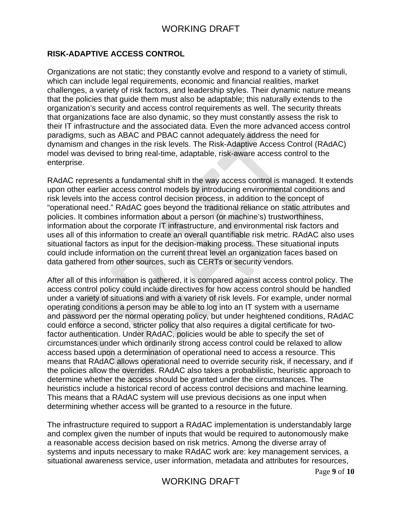### **RISK-ADAPTIVE ACCESS CONTROL**

Organizations are not static; they constantly evolve and respond to a variety of stimuli, which can include legal requirements, economic and financial realities, market challenges, a variety of risk factors, and leadership styles. Their dynamic nature means that the policies that guide them must also be adaptable; this naturally extends to the organization's security and access control requirements as well. The security threats that organizations face are also dynamic, so they must constantly assess the risk to their IT infrastructure and the associated data. Even the more advanced access control paradigms, such as ABAC and PBAC cannot adequately address the need for dynamism and changes in the risk levels. The Risk-Adaptive Access Control (RAdAC) model was devised to bring real-time, adaptable, risk-aware access control to the enterprise.

RAdAC represents a fundamental shift in the way access control is managed. It extends upon other earlier access control models by introducing environmental conditions and risk levels into the access control decision process, in addition to the concept of "operational need." RAdAC goes beyond the traditional reliance on static attributes and policies. It combines information about a person (or machine's) trustworthiness, information about the corporate IT infrastructure, and environmental risk factors and uses all of this information to create an overall quantifiable risk metric. RAdAC also uses situational factors as input for the decision-making process. These situational inputs could include information on the current threat level an organization faces based on data gathered from other sources, such as CERTs or security vendors.

After all of this information is gathered, it is compared against access control policy. The access control policy could include directives for how access control should be handled under a variety of situations and with a variety of risk levels. For example, under normal operating conditions a person may be able to log into an IT system with a username and password per the normal operating policy, but under heightened conditions, RAdAC could enforce a second, stricter policy that also requires a digital certificate for twofactor authentication. Under RAdAC, policies would be able to specify the set of circumstances under which ordinarily strong access control could be relaxed to allow access based upon a determination of operational need to access a resource. This means that RAdAC allows operational need to override security risk, if necessary, and if the policies allow the overrides. RAdAC also takes a probabilistic, heuristic approach to determine whether the access should be granted under the circumstances. The heuristics include a historical record of access control decisions and machine learning. This means that a RAdAC system will use previous decisions as one input when determining whether access will be granted to a resource in the future.

The infrastructure required to support a RAdAC implementation is understandably large and complex given the number of inputs that would be required to autonomously make a reasonable access decision based on risk metrics. Among the diverse array of systems and inputs necessary to make RAdAC work are: key management services, a situational awareness service, user information, metadata and attributes for resources,